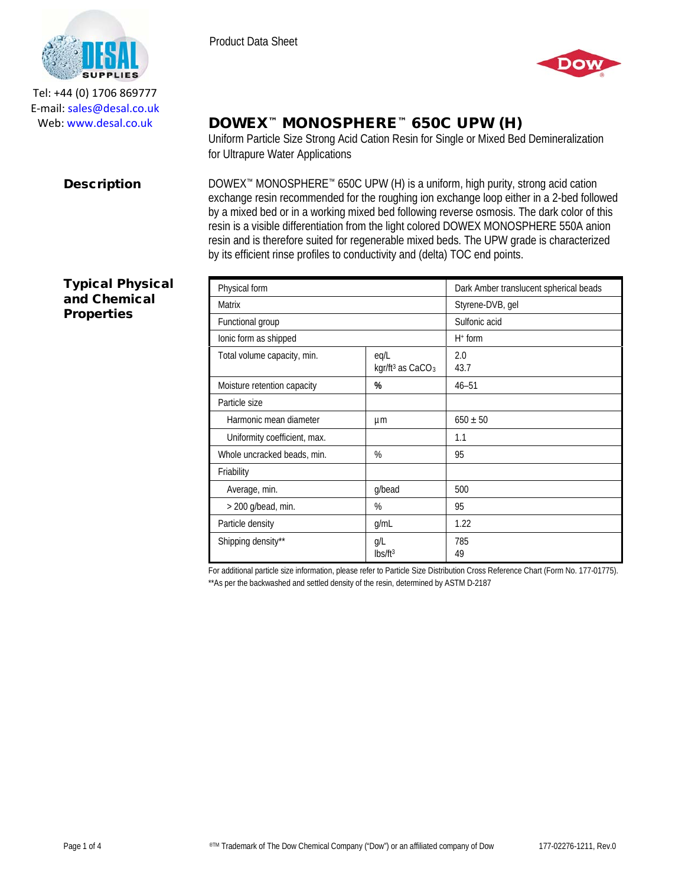

Product Data Sheet



Tel: +44 (0) 1706 869777 E‐mail: sales@desal.co.uk Web: www.desal.co.uk

# DOWEX™ MONOSPHERE™ 650C UPW (H)

Uniform Particle Size Strong Acid Cation Resin for Single or Mixed Bed Demineralization for Ultrapure Water Applications

**Description** DOWEX<sup>™</sup> MONOSPHERE<sup>™</sup> 650C UPW (H) is a uniform, high purity, strong acid cation exchange resin recommended for the roughing ion exchange loop either in a 2-bed followed by a mixed bed or in a working mixed bed following reverse osmosis. The dark color of this resin is a visible differentiation from the light colored DOWEX MONOSPHERE 550A anion resin and is therefore suited for regenerable mixed beds. The UPW grade is characterized by its efficient rinse profiles to conductivity and (delta) TOC end points.

## Typical Physical and Chemical **Properties**

| Physical form                |                                                  | Dark Amber translucent spherical beads |
|------------------------------|--------------------------------------------------|----------------------------------------|
| <b>Matrix</b>                |                                                  | Styrene-DVB, gel                       |
| Functional group             |                                                  | Sulfonic acid                          |
| lonic form as shipped        |                                                  | $H^+$ form                             |
| Total volume capacity, min.  | eg/L<br>kgr/ft <sup>3</sup> as CaCO <sub>3</sub> | 2.0<br>43.7                            |
| Moisture retention capacity  | %                                                | $46 - 51$                              |
| Particle size                |                                                  |                                        |
| Harmonic mean diameter       | μm                                               | $650 \pm 50$                           |
| Uniformity coefficient, max. |                                                  | 1.1                                    |
| Whole uncracked beads, min.  | %                                                | 95                                     |
| Friability                   |                                                  |                                        |
| Average, min.                | g/bead                                           | 500                                    |
| $>$ 200 g/bead, min.         | %                                                | 95                                     |
| Particle density             | g/mL                                             | 1.22                                   |
| Shipping density**           | g/L<br>lbs/ft <sup>3</sup>                       | 785<br>49                              |

For additional particle size information, please refer to Particle Size Distribution Cross Reference Chart (Form No. 177-01775). \*\*As per the backwashed and settled density of the resin, determined by ASTM D-2187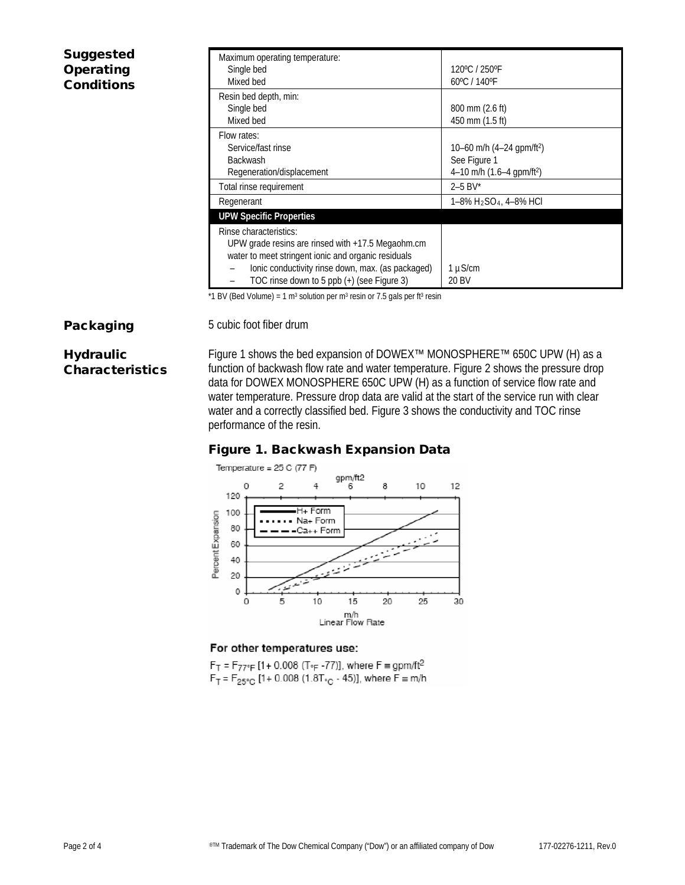| <b>Suggested</b><br>Operating<br><b>Conditions</b> | Maximum operating temperature:<br>Single bed<br>Mixed bed                                                                                                                                                                                    | 120°C / 250°F<br>60°C / 140°F                                                                      |
|----------------------------------------------------|----------------------------------------------------------------------------------------------------------------------------------------------------------------------------------------------------------------------------------------------|----------------------------------------------------------------------------------------------------|
|                                                    | Resin bed depth, min:<br>Single bed<br>Mixed bed                                                                                                                                                                                             | 800 mm (2.6 ft)<br>450 mm (1.5 ft)                                                                 |
|                                                    | Flow rates:<br>Service/fast rinse<br><b>Backwash</b><br>Regeneration/displacement                                                                                                                                                            | 10–60 m/h $(4–24$ gpm/ft <sup>2</sup> )<br>See Figure 1<br>4-10 m/h $(1.6-4$ gpm/ft <sup>2</sup> ) |
|                                                    | Total rinse requirement                                                                                                                                                                                                                      | $2 - 5$ BV*                                                                                        |
|                                                    | Regenerant                                                                                                                                                                                                                                   | 1–8% H2SO4, 4–8% HCl                                                                               |
|                                                    | <b>UPW Specific Properties</b>                                                                                                                                                                                                               |                                                                                                    |
|                                                    | Rinse characteristics:<br>UPW grade resins are rinsed with $+17.5$ Megaohm.cm<br>water to meet stringent ionic and organic residuals<br>lonic conductivity rinse down, max. (as packaged)<br>-<br>TOC rinse down to 5 ppb (+) (see Figure 3) | 1 µS/cm<br>20 BV                                                                                   |

\*1 BV (Bed Volume) = 1 m<sup>3</sup> solution per m<sup>3</sup> resin or 7.5 gals per ft<sup>3</sup> resin

Packaging 5 cubic foot fiber drum

# **Hydraulic** Characteristics

Figure 1 shows the bed expansion of DOWEX™ MONOSPHERE™ 650C UPW (H) as a function of backwash flow rate and water temperature. Figure 2 shows the pressure drop data for DOWEX MONOSPHERE 650C UPW (H) as a function of service flow rate and water temperature. Pressure drop data are valid at the start of the service run with clear water and a correctly classified bed. Figure 3 shows the conductivity and TOC rinse performance of the resin.

# Figure 1. Backwash Expansion Data



### For other temperatures use:

 $F_T = F_{77^\circ F}$  [1+ 0.008 (T<sub>°F</sub> -77)], where  $F = gpm/ft^2$  $F_T = F_{25\degree C}$  [1+ 0.008 (1.8T<sub>°C</sub> - 45)], where  $F \equiv m/h$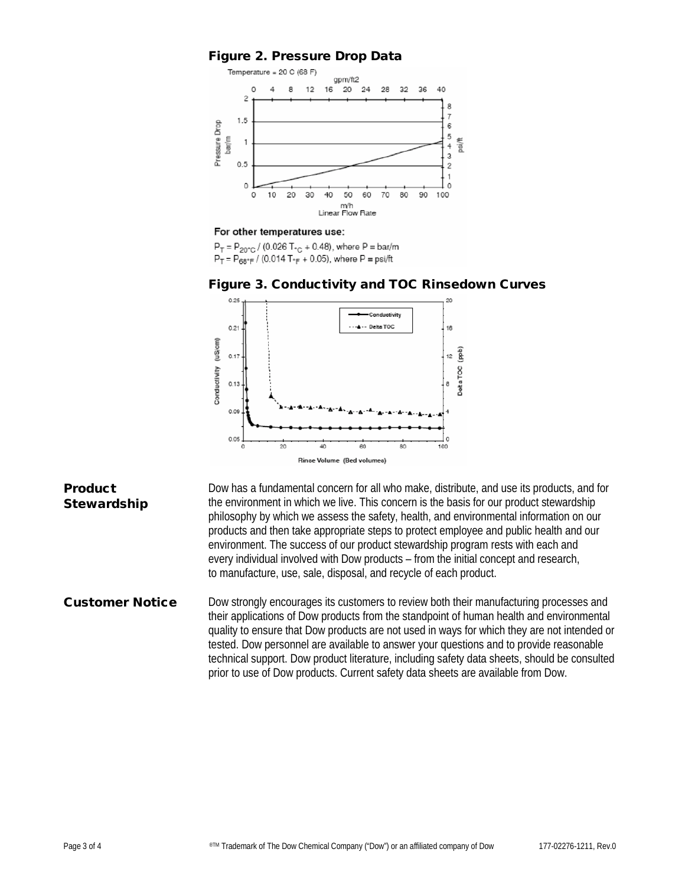## Figure 2. Pressure Drop Data



#### For other temperatures use:

 $P_T = P_{20\degree}$  (0.026 T<sub> $\degree$ C</sub> + 0.48), where P = bar/m  $P_T = P_{68^\circ F} / (0.014 T_{F} + 0.05)$ , where  $P = \text{psi/ft}$ 

#### Figure 3. Conductivity and TOC Rinsedown Curves



#### **Product Stewardship**

Dow has a fundamental concern for all who make, distribute, and use its products, and for the environment in which we live. This concern is the basis for our product stewardship philosophy by which we assess the safety, health, and environmental information on our products and then take appropriate steps to protect employee and public health and our environment. The success of our product stewardship program rests with each and every individual involved with Dow products – from the initial concept and research, to manufacture, use, sale, disposal, and recycle of each product.

## Customer Notice Dow strongly encourages its customers to review both their manufacturing processes and their applications of Dow products from the standpoint of human health and environmental quality to ensure that Dow products are not used in ways for which they are not intended or tested. Dow personnel are available to answer your questions and to provide reasonable technical support. Dow product literature, including safety data sheets, should be consulted prior to use of Dow products. Current safety data sheets are available from Dow.